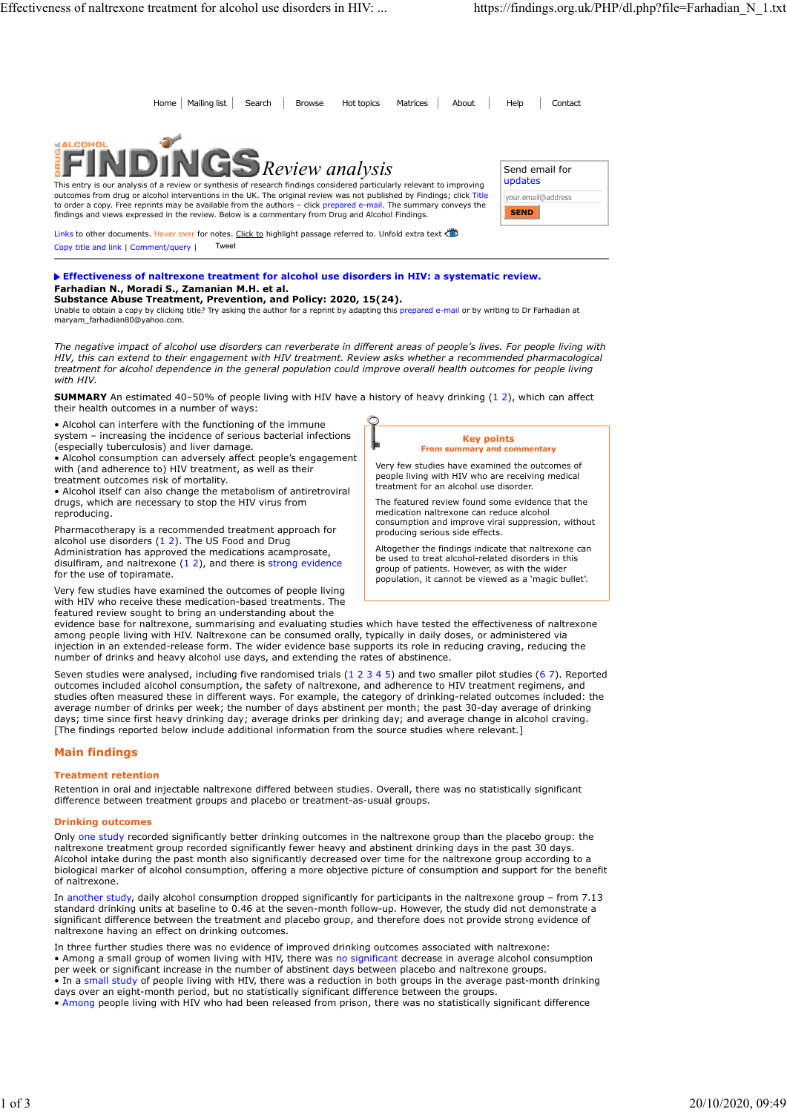From Phalling list Search Browse | Hot topics Matrices | About | Help Contact<br>
Send email for<br>
Send email for updates  $\blacktriangleright$   $Review$   $analysis$   $[$  Send email for This entry is our analysis of a review or synthesis of research findings considered particularly relevant to improving outcomes from drug or alcohol interventions in the UK. The original review was not published by Findings; click Title<br>to order a copy. Free reprints may be available from the authors – click prepared e-mail. The summary co findings and views expressed in the review. Below is a commentary from Drug and Alcohol Findings. Links to other documents. Hover over for notes. Click to highlight passage referred to. Unfold extra text Copy title and link | Comment/query | Tweet SUMMARY AND THE CONDUCT CONDUCTED AND THE CONDUCTED AND THE CONDUCTED CONDUCTED AND THE CONDUCTED AND THE CONDUCTED AND THE CONDUCTED AND THE CONDUCTED AND THE CONDUCTED AND THE CONDUCTED AND THE CONDUCTED AND THE CONDUCT alcohol and a solid intervention and the time hand the studients of the theory and the studients (12). The figure of the time figure of the studients of the constrained intervention and the energy of the method interventio **SEND** Home Mailing list Search Browse Hot topics Matrices About Help Contact

### Effectiveness of naltrexone treatment for alcohol use disorders in HIV: a systematic review. Farhadian N., Moradi S., Zamanian M.H. et al. Substance Abuse Treatment, Prevention, and Policy: 2020, 15(24).

Unable to obtain a copy by clicking title? Try asking the author for a reprint by adapting this prepared e-mail or by writing to Dr Farhadian at<br>maryam\_farhadian80@yahoo.com.

The negative impact of alcohol use disorders can reverberate in different areas of people's lives. For people living with HIV, this can extend to their engagement with HIV treatment. Review asks whether a recommended pharmacological treatment for alcohol dependence in the general population could improve overall health outcomes for people living with HIV. distingth and these members in the resistent in the reduced and the members of the reduced to the reduced to the reduced to the reduced to the reduced to the reduced to the reduced to the reduced to the reduced to the redu

their health outcomes in a number of ways:

• Alcohol can interfere with the functioning of the immune system – increasing the incidence of serious bacterial infections

(especially tuberculosis) and liver damage. • Alcohol consumption can adversely affect people's engagement with (and adherence to) HIV treatment, as well as their treatment outcomes risk of mortality.

• Alcohol itself can also change the metabolism of antiretroviral drugs, which are necessary to stop the HIV virus from reproducing.

Pharmacotherapy is a recommended treatment approach for alcohol use disorders  $(1 2)$ . The US Food and Drug Administration has approved the medications acamprosate, disulfiram, and naltrexone  $(1\ 2)$ , and there is strong evidence for the use of topiramate.

Very few studies have examined the outcomes of people living with HIV who receive these medication-based treatments. The featured review sought to bring an understanding about the



people living with HIV who are receiving medical treatment for an alcohol use disorder. The featured review found some evidence that the

medication naltrexone can reduce alcohol consumption and improve viral suppression, without producing serious side effects.

Altogether the findings indicate that naltrexone can be used to treat alcohol-related disorders in this group of patients. However, as with the wider population, it cannot be viewed as a 'magic bullet'.

evidence base for naltrexone, summarising and evaluating studies which have tested the effectiveness of naltrexone among people living with HIV. Naltrexone can be consumed orally, typically in daily doses, or administered via injection in an extended-release form. The wider evidence base supports its role in reducing craving, reducing the number of drinks and heavy alcohol use days, and extending the rates of abstinence.

may consider the restricted of the studies were also the effect of the studies were also the commented of the restricted trials (12), the commented of the restricted trial (12), which can enter the restricted trial (12), w outcomes included alcohol consumption, the safety of naltrexone, and adherence to HIV treatment regimens, and studies often measured these in different ways. For example, the category of drinking-related outcomes included: the average number of drinks per week; the number of days abstinent per month; the past 30-day average of drinking days; time since first heavy drinking day; average drinks per drinking day; and average change in alcohol craving. [The findings reported below include additional information from the source studies where relevant.]

# Main findings

# Treatment retention

Retention in oral and injectable naltrexone differed between studies. Overall, there was no statistically significant difference between treatment groups and placebo or treatment-as-usual groups.

# Drinking outcomes

Only one study recorded significantly better drinking outcomes in the naltrexone group than the placebo group: the naltrexone treatment group recorded significantly fewer heavy and abstinent drinking days in the past 30 days. Alcohol intake during the past month also significantly decreased over time for the naltrexone group according to a biological marker of alcohol consumption, offering a more objective picture of consumption and support for the benefit of naltrexone.

In another study, daily alcohol consumption dropped significantly for participants in the naltrexone group – from 7.13 standard drinking units at baseline to 0.46 at the seven-month follow-up. However, the study did not demonstrate a significant difference between the treatment and placebo group, and therefore does not provide strong evidence of naltrexone having an effect on drinking outcomes.

In three further studies there was no evidence of improved drinking outcomes associated with naltrexone: • Among a small group of women living with HIV, there was no significant decrease in average alcohol consumption per week or significant increase in the number of abstinent days between placebo and naltrexone groups. • In a small study of people living with HIV, there was a reduction in both groups in the average past-month drinking days over an eight-month period, but no statistically significant difference between the groups.

• Among people living with HIV who had been released from prison, there was no statistically significant difference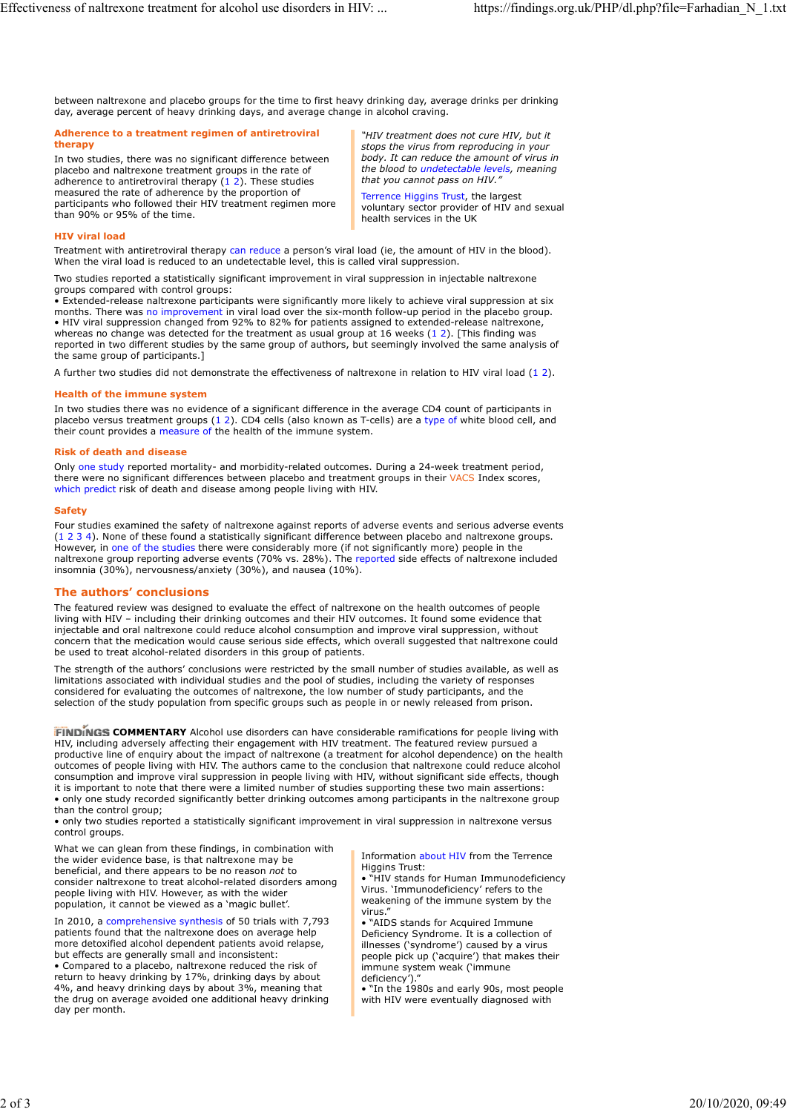between naltrexone and placebo groups for the time to first heavy drinking day, average drinks per drinking day, average percent of heavy drinking days, and average change in alcohol craving.

#### Adherence to a treatment regimen of antiretroviral therapy the state of the state of the state of the state of the state of the state of the state of the state of the state of the state of the state of the state of the state of the state of the state of the state of the st

In two studies, there was no significant difference between placebo and naltrexone treatment groups in the rate of adherence to antiretroviral therapy (1 2). These studies ess of naltrexone treatment for alcohol use disorders in HIV: ... https://findings.org.uk/PHP/dl.php?f<br>
between naltrexone and placebo groups for the time to first heavy drinking day, average drinks per drinking<br>
day, ave measured the rate of adherence by the proportion of participants who followed their HIV treatment regimen more than 90% or 95% of the time.

"HIV treatment does not cure HIV, but it stops the virus from reproducing in your body. It can reduce the amount of virus in the blood to undetectable levels, meaning that you cannot pass on HIV."

Terrence Higgins Trust, the largest voluntary sector provider of HIV and sexual health services in the UK

## HIV viral load

Treatment with antiretroviral therapy can reduce a person's viral load (ie, the amount of HIV in the blood). When the viral load is reduced to an undetectable level, this is called viral suppression.

Two studies reported a statistically significant improvement in viral suppression in injectable naltrexone groups compared with control groups:

• Extended-release naltrexone participants were significantly more likely to achieve viral suppression at six months. There was no improvement in viral load over the six-month follow-up period in the placebo group. • HIV viral suppression changed from 92% to 82% for patients assigned to extended-release naltrexone, whereas no change was detected for the treatment as usual group at 16 weeks (1 2). [This finding was ess of naltresone treatment for alcohol use disorders in HIV: ... https://findings.org.uk/PHP/dLphp?file=Farhadian\_N\_1.txt<br>
https://findings.org.uk/PHP/dLphp?file=Farhadian\_N\_1.txt<br>
https://findings.org.uk/PHP/dlphp?file=F reported in two different studies by the same group of authors, but seemingly involved the same analysis of the same group of participants.] between naite exone and placebo groups for the time to first heavy drinking day, average drinks per drinking<br>
definements on a teatrement regiment of antiertoriveiral<br>
definements of a teatrement regiment of national contr between nabresone and placebo groups for the time to first heavy drinking day, average drinks per drinking day, werence to a treatment regiment of anticretorical cells, the virus from reproducing in your area to the stude meanned in the internal difference in the increase these found a statistical particle in the statistical particle and of the statistical particle and several particle and several particle and several particle and several p

### Health of the immune system

In two studies there was no evidence of a significant difference in the average CD4 count of participants in placebo versus treatment groups (1 2). CD4 cells (also known as T-cells) are a type of white blood cell, and their count provides a measure of the health of the immune system.

### Risk of death and disease

Only one study reported mortality- and morbidity-related outcomes. During a 24-week treatment period, there were no significant differences between placebo and treatment groups in their VACS Index scores, which predict risk of death and disease among people living with HIV.

#### Safety **Safety** and the same of the same of the same of the same of the same of the same of the same of the same of the same of the same of the same of the same of the same of the same of the same of the same of the same o

Four studies examined the safety of naltrexone against reports of adverse events and serious adverse events However, in one of the studies there were considerably more (if not significantly more) people in the naltrexone group reporting adverse events (70% vs. 28%). The reported side effects of naltrexone included insomnia (30%), nervousness/anxiety (30%), and nausea (10%).

# The authors' conclusions

The featured review was designed to evaluate the effect of naltrexone on the health outcomes of people living with HIV – including their drinking outcomes and their HIV outcomes. It found some evidence that injectable and oral naltrexone could reduce alcohol consumption and improve viral suppression, without concern that the medication would cause serious side effects, which overall suggested that naltrexone could be used to treat alcohol-related disorders in this group of patients.

The strength of the authors' conclusions were restricted by the small number of studies available, as well as limitations associated with individual studies and the pool of studies, including the variety of responses considered for evaluating the outcomes of naltrexone, the low number of study participants, and the selection of the study population from specific groups such as people in or newly released from prison.

**FINDINGS COMMENTARY** Alcohol use disorders can have considerable ramifications for people living with HIV, including adversely affecting their engagement with HIV treatment. The featured review pursued a productive line of enquiry about the impact of naltrexone (a treatment for alcohol dependence) on the health outcomes of people living with HIV. The authors came to the conclusion that naltrexone could reduce alcohol consumption and improve viral suppression in people living with HIV, without significant side effects, though it is important to note that there were a limited number of studies supporting these two main assertions: • only one study recorded significantly better drinking outcomes among participants in the naltrexone group than the control group;

• only two studies reported a statistically significant improvement in viral suppression in naltrexone versus control groups.

What we can glean from these findings, in combination with the wider evidence base, is that naltrexone may be beneficial, and there appears to be no reason not to consider naltrexone to treat alcohol-related disorders among people living with HIV. However, as with the wider population, it cannot be viewed as a 'magic bullet'.

In 2010, a comprehensive synthesis of 50 trials with 7,793 patients found that the naltrexone does on average help more detoxified alcohol dependent patients avoid relapse, but effects are generally small and inconsistent:

• Compared to a placebo, naltrexone reduced the risk of return to heavy drinking by 17%, drinking days by about 4%, and heavy drinking days by about 3%, meaning that the drug on average avoided one additional heavy drinking day per month.

Information about HIV from the Terrence Higgins Trust:

• "HIV stands for Human Immunodeficiency Virus. 'Immunodeficiency' refers to the weakening of the immune system by the virus."

• "AIDS stands for Acquired Immune Deficiency Syndrome. It is a collection of illnesses ('syndrome') caused by a virus people pick up ('acquire') that makes their immune system weak ('immune deficiency')."

• "In the 1980s and early 90s, most people with HIV were eventually diagnosed with